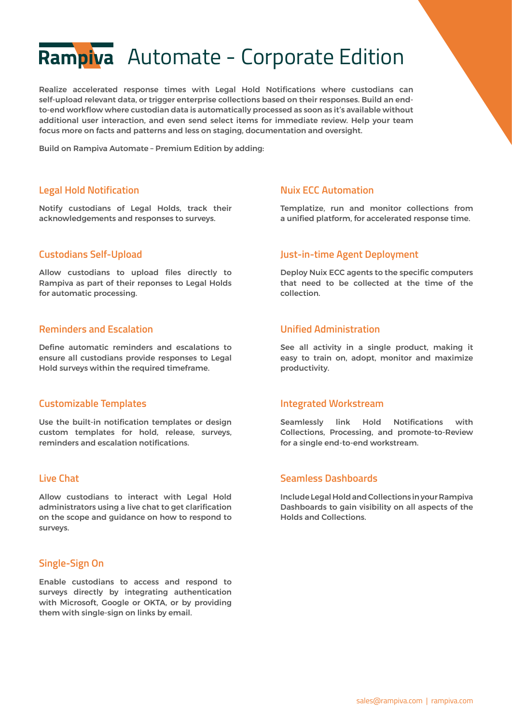# Rampiva Automate - Corporate Edition

Realize accelerated response times with Legal Hold Notifications where custodians can self-upload relevant data, or trigger enterprise collections based on their responses. Build an endto-end workflow where custodian data is automatically processed as soon as it's available without additional user interaction, and even send select items for immediate review. Help your team focus more on facts and patterns and less on staging, documentation and oversight.

Build on Rampiva Automate – Premium Edition by adding:

### **Legal Hold Notification**

Notify custodians of Legal Holds, track their acknowledgements and responses to surveys.

### **Custodians Self-Upload**

Allow custodians to upload files directly to Rampiva as part of their reponses to Legal Holds for automatic processing.

## **Reminders and Escalation**

Define automatic reminders and escalations to ensure all custodians provide responses to Legal Hold surveys within the required timeframe.

#### **Customizable Templates**

Use the built-in notification templates or design custom templates for hold, release, surveys, reminders and escalation notifications.

## **Live Chat**

Allow custodians to interact with Legal Hold administrators using a live chat to get clarification on the scope and guidance on how to respond to surveys.

# **Single-Sign On**

Enable custodians to access and respond to surveys directly by integrating authentication with Microsoft, Google or OKTA, or by providing them with single-sign on links by email.

#### **Nuix ECC Automation**

Templatize, run and monitor collections from a unified platform, for accelerated response time.

#### **Just-in-time Agent Deployment**

Deploy Nuix ECC agents to the specific computers that need to be collected at the time of the collection.

#### **Unified Administration**

See all activity in a single product, making it easy to train on, adopt, monitor and maximize productivity.

#### **Integrated Workstream**

Seamlessly link Hold Notifications with Collections, Processing, and promote-to-Review for a single end-to-end workstream.

#### **Seamless Dashboards**

Include Legal Hold and Collections in your Rampiva Dashboards to gain visibility on all aspects of the Holds and Collections.